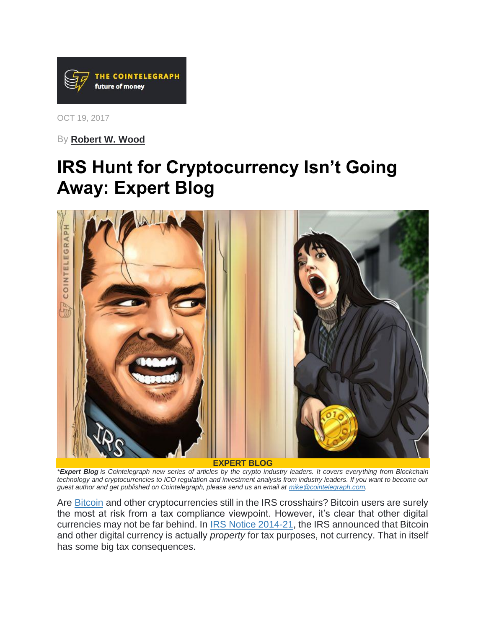

OCT 19, 2017

By **[Robert W. Wood](https://cointelegraph.com/news/irs-hunt-for-cryptocurrency-isnt-going-away-expert-blog)**

## **IRS Hunt for Cryptocurrency Isn't Going Away: Expert Blog**



*\*Expert Blog is Cointelegraph new series of articles by the crypto industry leaders. It covers everything from Blockchain*  technology and cryptocurrencies to ICO regulation and investment analysis from industry leaders. If you want to become our *guest author and get published on Cointelegraph, please send us an email at [mike@cointelegraph.com.](mailto:mike@cointelegraph.com)*

Are [Bitcoin](https://cointelegraph.com/tags/bitcoin) and other cryptocurrencies still in the IRS crosshairs? Bitcoin users are surely the most at risk from a tax compliance viewpoint. However, it's clear that other digital currencies may not be far behind. In IRS [Notice 2014-21,](https://www.irs.gov/pub/irs-drop/n-14-21.pdf) the IRS announced that Bitcoin and other digital currency is actually *property* for tax purposes, not currency. That in itself has some big tax consequences.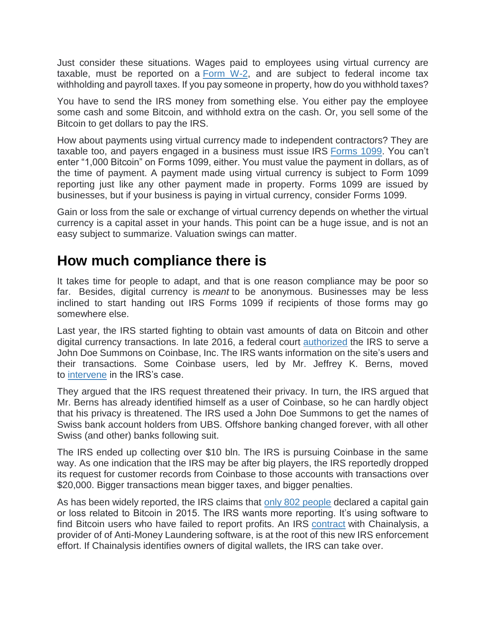Just consider these situations. Wages paid to employees using virtual currency are taxable, must be reported on a  $Form W-2$ , and are subject to federal income tax withholding and payroll taxes. If you pay someone in property, how do you withhold taxes?

You have to send the IRS money from something else. You either pay the employee some cash and some Bitcoin, and withhold extra on the cash. Or, you sell some of the Bitcoin to get dollars to pay the IRS.

How about payments using virtual currency made to independent contractors? They are taxable too, and payers engaged in a business must issue IRS [Forms 1099.](https://www.irs.gov/forms-pubs/about-form-1099misc) You can't enter "1,000 Bitcoin" on Forms 1099, either. You must value the payment in dollars, as of the time of payment. A payment made using virtual currency is subject to Form 1099 reporting just like any other payment made in property. Forms 1099 are issued by businesses, but if your business is paying in virtual currency, consider Forms 1099.

Gain or loss from the sale or exchange of virtual currency depends on whether the virtual currency is a capital asset in your hands. This point can be a huge issue, and is not an easy subject to summarize. Valuation swings can matter.

## **How much compliance there is**

It takes time for people to adapt, and that is one reason compliance may be poor so far. Besides, digital currency is *meant* to be anonymous. Businesses may be less inclined to start handing out IRS Forms 1099 if recipients of those forms may go somewhere else.

Last year, the IRS started fighting to obtain vast amounts of data on Bitcoin and other digital currency transactions. In late 2016, a federal court [authorized](https://cointelegraph.com/news/us-federal-court-approves-irs-collection-of-coinbase-user-database) the IRS to serve a John Doe Summons on Coinbase, Inc. The IRS wants information on the site's users and their transactions. Some Coinbase users, led by Mr. Jeffrey K. Berns, moved to [intervene](https://cointelegraph.com/news/class-action-filed-to-block-the-irs-from-tracking-bitcoin-users-on-coinbase) in the IRS's case.

They argued that the IRS request threatened their privacy. In turn, the IRS argued that Mr. Berns has already identified himself as a user of Coinbase, so he can hardly object that his privacy is threatened. The IRS used a John Doe Summons to get the names of Swiss bank account holders from UBS. Offshore banking changed forever, with all other Swiss (and other) banks following suit.

The IRS ended up collecting over \$10 bln. The IRS is pursuing Coinbase in the same way. As one indication that the IRS may be after big players, the IRS reportedly dropped its request for customer records from Coinbase to those accounts with transactions over \$20,000. Bigger transactions mean bigger taxes, and bigger penalties.

As has been widely reported, the IRS claims that [only 802 people](https://cointelegraph.com/news/only-802-people-paid-taxes-on-bitcoin-profits-irs-says) declared a capital gain or loss related to Bitcoin in 2015. The IRS wants more reporting. It's using software to find Bitcoin users who have failed to report profits. An IRS [contract](https://cointelegraph.com/news/irs-uses-chainalysis-to-track-down-bitcoin-tax-cheats) with Chainalysis, a provider of of Anti-Money Laundering software, is at the root of this new IRS enforcement effort. If Chainalysis identifies owners of digital wallets, the IRS can take over.